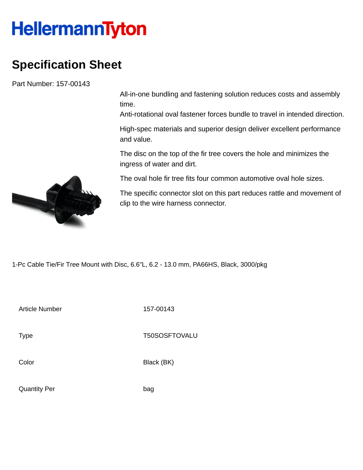## **HellermannTyton**

## **Specification Sheet**

Part Number: 157-00143

All-in-one bundling and fastening solution reduces costs and assembly time.

Anti-rotational oval fastener forces bundle to travel in intended direction.

High-spec materials and superior design deliver excellent performance and value.

The disc on the top of the fir tree covers the hole and minimizes the ingress of water and dirt.

The oval hole fir tree fits four common automotive oval hole sizes.

The specific connector slot on this part reduces rattle and movement of clip to the wire harness connector.

1-Pc Cable Tie/Fir Tree Mount with Disc, 6.6"L, 6.2 - 13.0 mm, PA66HS, Black, 3000/pkg

Article Number 157-00143

Type Type T50SOSFTOVALU

Color Black (BK)

Quantity Per bag

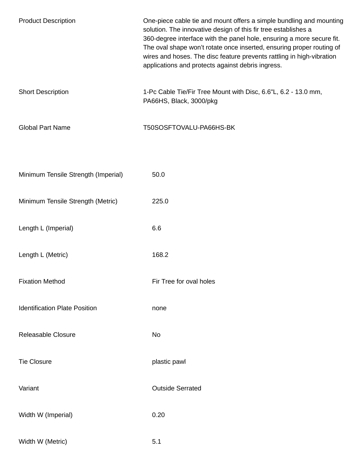| <b>Product Description</b>           | One-piece cable tie and mount offers a simple bundling and mounting<br>solution. The innovative design of this fir tree establishes a<br>360-degree interface with the panel hole, ensuring a more secure fit.<br>The oval shape won't rotate once inserted, ensuring proper routing of<br>wires and hoses. The disc feature prevents rattling in high-vibration<br>applications and protects against debris ingress. |
|--------------------------------------|-----------------------------------------------------------------------------------------------------------------------------------------------------------------------------------------------------------------------------------------------------------------------------------------------------------------------------------------------------------------------------------------------------------------------|
| <b>Short Description</b>             | 1-Pc Cable Tie/Fir Tree Mount with Disc, 6.6"L, 6.2 - 13.0 mm,<br>PA66HS, Black, 3000/pkg                                                                                                                                                                                                                                                                                                                             |
| <b>Global Part Name</b>              | T50SOSFTOVALU-PA66HS-BK                                                                                                                                                                                                                                                                                                                                                                                               |
| Minimum Tensile Strength (Imperial)  | 50.0                                                                                                                                                                                                                                                                                                                                                                                                                  |
| Minimum Tensile Strength (Metric)    | 225.0                                                                                                                                                                                                                                                                                                                                                                                                                 |
| Length L (Imperial)                  | 6.6                                                                                                                                                                                                                                                                                                                                                                                                                   |
| Length L (Metric)                    | 168.2                                                                                                                                                                                                                                                                                                                                                                                                                 |
| <b>Fixation Method</b>               | Fir Tree for oval holes                                                                                                                                                                                                                                                                                                                                                                                               |
| <b>Identification Plate Position</b> | none                                                                                                                                                                                                                                                                                                                                                                                                                  |
| <b>Releasable Closure</b>            | No                                                                                                                                                                                                                                                                                                                                                                                                                    |
| <b>Tie Closure</b>                   | plastic pawl                                                                                                                                                                                                                                                                                                                                                                                                          |
| Variant                              | <b>Outside Serrated</b>                                                                                                                                                                                                                                                                                                                                                                                               |
| Width W (Imperial)                   | 0.20                                                                                                                                                                                                                                                                                                                                                                                                                  |
| Width W (Metric)                     | 5.1                                                                                                                                                                                                                                                                                                                                                                                                                   |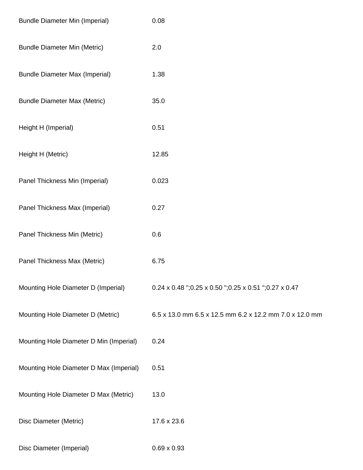| <b>Bundle Diameter Min (Imperial)</b>   | 0.08                                                    |
|-----------------------------------------|---------------------------------------------------------|
| <b>Bundle Diameter Min (Metric)</b>     | 2.0                                                     |
| <b>Bundle Diameter Max (Imperial)</b>   | 1.38                                                    |
| <b>Bundle Diameter Max (Metric)</b>     | 35.0                                                    |
| Height H (Imperial)                     | 0.51                                                    |
| Height H (Metric)                       | 12.85                                                   |
| Panel Thickness Min (Imperial)          | 0.023                                                   |
| Panel Thickness Max (Imperial)          | 0.27                                                    |
| Panel Thickness Min (Metric)            | 0.6                                                     |
| Panel Thickness Max (Metric)            | 6.75                                                    |
| Mounting Hole Diameter D (Imperial)     | 0.24 x 0.48 ";0.25 x 0.50 ";0.25 x 0.51 ";0.27 x 0.47   |
| Mounting Hole Diameter D (Metric)       | 6.5 x 13.0 mm 6.5 x 12.5 mm 6.2 x 12.2 mm 7.0 x 12.0 mm |
| Mounting Hole Diameter D Min (Imperial) | 0.24                                                    |
| Mounting Hole Diameter D Max (Imperial) | 0.51                                                    |
| Mounting Hole Diameter D Max (Metric)   | 13.0                                                    |
| Disc Diameter (Metric)                  | 17.6 x 23.6                                             |
| Disc Diameter (Imperial)                | $0.69 \times 0.93$                                      |